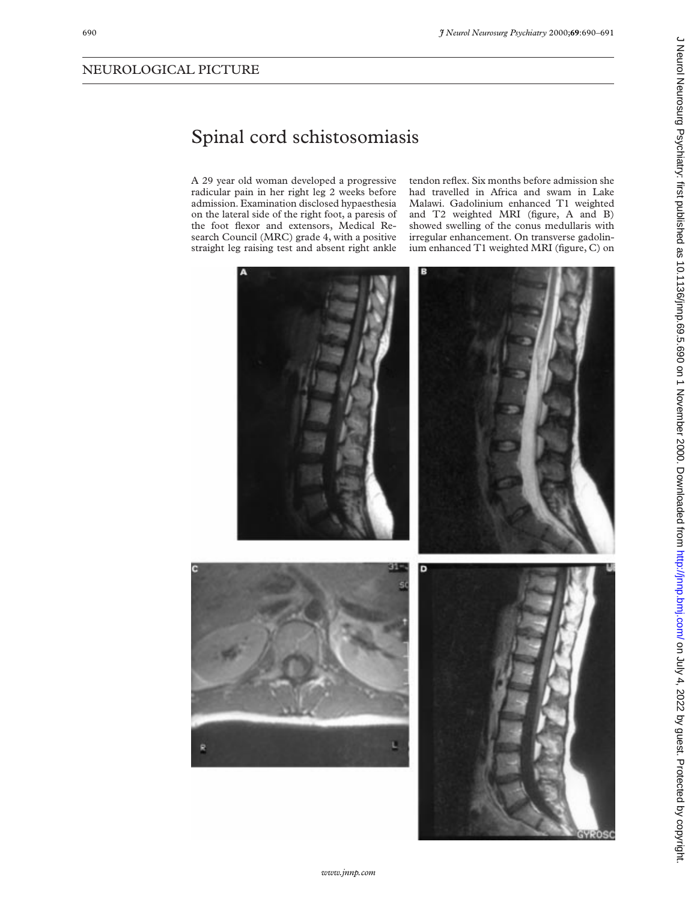## Spinal cord schistosomiasis

A 29 year old woman developed a progressive radicular pain in her right leg 2 weeks before admission. Examination disclosed hypaesthesia on the lateral side of the right foot, a paresis of the foot flexor and extensors, Medical Research Council (MRC) grade 4, with a positive straight leg raising test and absent right ankle

tendon reflex. Six months before admission she had travelled in Africa and swam in Lake Malawi. Gadolinium enhanced T1 weighted and T2 weighted MRI (figure, A and B) showed swelling of the conus medullaris with irregular enhancement. On transverse gadolinium enhanced T1 weighted MRI (figure, C) on